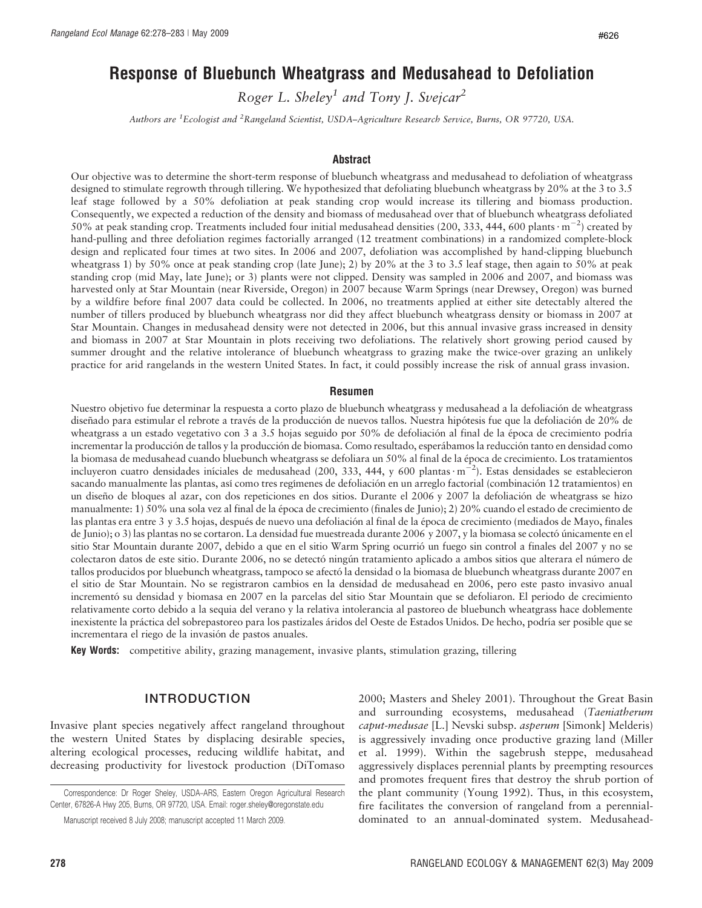# Response of Bluebunch Wheatgrass and Medusahead to Defoliation

Roger L. Sheley<sup>1</sup> and Tony J. Svejcar<sup>2</sup>

Authors are <sup>1</sup>Ecologist and <sup>2</sup>Rangeland Scientist, USDA–Agriculture Research Service, Burns, OR 97720, USA.

#### Abstract

Our objective was to determine the short-term response of bluebunch wheatgrass and medusahead to defoliation of wheatgrass designed to stimulate regrowth through tillering. We hypothesized that defoliating bluebunch wheatgrass by 20% at the 3 to 3.5 leaf stage followed by a 50% defoliation at peak standing crop would increase its tillering and biomass production. Consequently, we expected a reduction of the density and biomass of medusahead over that of bluebunch wheatgrass defoliated 50% at peak standing crop. Treatments included four initial medusahead densities (200, 333, 444, 600 plants $\cdot$  m<sup>-2</sup>) created by hand-pulling and three defoliation regimes factorially arranged (12 treatment combinations) in a randomized complete-block design and replicated four times at two sites. In 2006 and 2007, defoliation was accomplished by hand-clipping bluebunch wheatgrass 1) by 50% once at peak standing crop (late June); 2) by 20% at the 3 to 3.5 leaf stage, then again to 50% at peak standing crop (mid May, late June); or 3) plants were not clipped. Density was sampled in 2006 and 2007, and biomass was harvested only at Star Mountain (near Riverside, Oregon) in 2007 because Warm Springs (near Drewsey, Oregon) was burned by a wildfire before final 2007 data could be collected. In 2006, no treatments applied at either site detectably altered the number of tillers produced by bluebunch wheatgrass nor did they affect bluebunch wheatgrass density or biomass in 2007 at Star Mountain. Changes in medusahead density were not detected in 2006, but this annual invasive grass increased in density and biomass in 2007 at Star Mountain in plots receiving two defoliations. The relatively short growing period caused by summer drought and the relative intolerance of bluebunch wheatgrass to grazing make the twice-over grazing an unlikely practice for arid rangelands in the western United States. In fact, it could possibly increase the risk of annual grass invasion.

#### Resumen

Nuestro objetivo fue determinar la respuesta a corto plazo de bluebunch wheatgrass y medusahead a la defoliación de wheatgrass diseñado para estimular el rebrote a través de la producción de nuevos tallos. Nuestra hipótesis fue que la defoliación de 20% de wheatgrass a un estado vegetativo con 3 a 3.5 hojas seguido por 50% de defoliación al final de la época de crecimiento podría incrementar la producción de tallos y la producción de biomasa. Como resultado, esperábamos la reducción tanto en densidad como la biomasa de medusahead cuando bluebunch wheatgrass se defoliara un 50% al final de la época de crecimiento. Los tratamientos incluyeron cuatro densidades iníciales de medusahead (200, 333, 444, y 600 plantas  $m^{-2}$ ). Estas densidades se establecieron sacando manualmente las plantas, así como tres regímenes de defoliación en un arreglo factorial (combinación 12 tratamientos) en un diseño de bloques al azar, con dos repeticiones en dos sitios. Durante el 2006 y 2007 la defoliación de wheatgrass se hizo manualmente: 1) 50% una sola vez al final de la época de crecimiento (finales de Junio); 2) 20% cuando el estado de crecimiento de las plantas era entre 3 y 3.5 hojas, después de nuevo una defoliación al final de la época de crecimiento (mediados de Mayo, finales de Junio); o 3) las plantas no se cortaron. La densidad fue muestreada durante 2006 y 2007, y la biomasa se colectó únicamente en el sitio Star Mountain durante 2007, debido a que en el sitio Warm Spring ocurrió un fuego sin control a finales del 2007 y no se colectaron datos de este sitio. Durante 2006, no se detectó ningún tratamiento aplicado a ambos sitios que alterara el número de tallos producidos por bluebunch wheatgrass, tampoco se afecto´ la densidad o la biomasa de bluebunch wheatgrass durante 2007 en el sitio de Star Mountain. No se registraron cambios en la densidad de medusahead en 2006, pero este pasto invasivo anual incrementó su densidad y biomasa en 2007 en la parcelas del sitio Star Mountain que se defoliaron. El periodo de crecimiento relativamente corto debido a la sequia del verano y la relativa intolerancia al pastoreo de bluebunch wheatgrass hace doblemente inexistente la práctica del sobrepastoreo para los pastizales áridos del Oeste de Estados Unidos. De hecho, podría ser posible que se incrementara el riego de la invasión de pastos anuales.

Key Words: competitive ability, grazing management, invasive plants, stimulation grazing, tillering

# INTRODUCTION

Invasive plant species negatively affect rangeland throughout the western United States by displacing desirable species, altering ecological processes, reducing wildlife habitat, and decreasing productivity for livestock production (DiTomaso

2000; Masters and Sheley 2001). Throughout the Great Basin and surrounding ecosystems, medusahead (Taeniatherum caput-medusae [L.] Nevski subsp. asperum [Simonk] Melderis) is aggressively invading once productive grazing land (Miller et al. 1999). Within the sagebrush steppe, medusahead aggressively displaces perennial plants by preempting resources and promotes frequent fires that destroy the shrub portion of the plant community (Young 1992). Thus, in this ecosystem, fire facilitates the conversion of rangeland from a perennialdominated to an annual-dominated system. Medusahead-

Correspondence: Dr Roger Sheley, USDA–ARS, Eastern Oregon Agricultural Research Center, 67826-A Hwy 205, Burns, OR 97720, USA. Email: roger.sheley@oregonstate.edu

Manuscript received 8 July 2008; manuscript accepted 11 March 2009.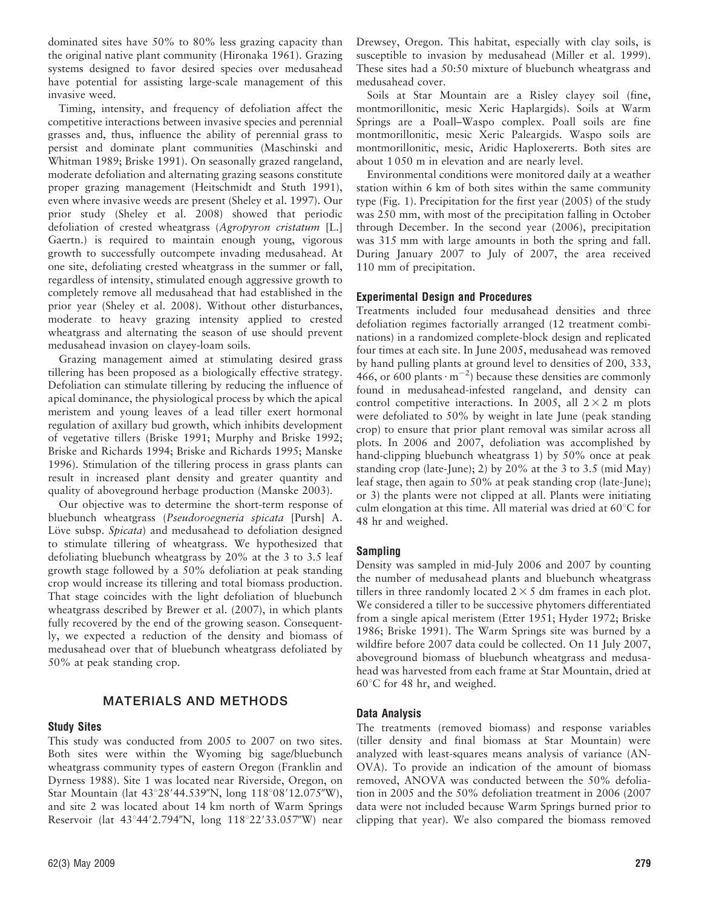dominated sites have 50% to 80% less grazing capacity than the original native plant community (Hironaka 1961). Grazing systems designed to favor desired species over medusahead have potential for assisting large-scale management of this invasive weed.

Timing, intensity, and frequency of defoliation affect the competitive interactions between invasive species and perennial grasses and, thus, influence the ability of perennial grass to persist and dominate plant communities (Maschinski and Whitman 1989; Briske 1991). On seasonally grazed rangeland, moderate defoliation and alternating grazing seasons constitute proper grazing management (Heitschmidt and Stuth 1991), even where invasive weeds are present (Sheley et al. 1997). Our prior study (Sheley et al. 2008) showed that periodic defoliation of crested wheatgrass (Agropyron cristatum [L.] Gaertn.) is required to maintain enough young, vigorous growth to successfully outcompete invading medusahead. At one site, defoliating crested wheatgrass in the summer or fall, regardless of intensity, stimulated enough aggressive growth to completely remove all medusahead that had established in the prior year (Sheley et al. 2008). Without other disturbances, moderate to heavy grazing intensity applied to crested wheatgrass and alternating the season of use should prevent medusahead invasion on clayey-loam soils.

Grazing management aimed at stimulating desired grass tillering has been proposed as a biologically effective strategy. Defoliation can stimulate tillering by reducing the influence of apical dominance, the physiological process by which the apical meristem and young leaves of a lead tiller exert hormonal regulation of axillary bud growth, which inhibits development of vegetative tillers (Briske 1991; Murphy and Briske 1992; Briske and Richards 1994; Briske and Richards 1995; Manske 1996). Stimulation of the tillering process in grass plants can result in increased plant density and greater quantity and quality of aboveground herbage production (Manske 2003).

Our objective was to determine the short-term response of bluebunch wheatgrass (Pseudoroegneria spicata [Pursh] A. Löve subsp. Spicata) and medusahead to defoliation designed to stimulate tillering of wheatgrass. We hypothesized that defoliating bluebunch wheatgrass by 20% at the 3 to 3.5 leaf growth stage followed by a 50% defoliation at peak standing crop would increase its tillering and total biomass production. That stage coincides with the light defoliation of bluebunch wheatgrass described by Brewer et al. (2007), in which plants fully recovered by the end of the growing season. Consequently, we expected a reduction of the density and biomass of medusahead over that of bluebunch wheatgrass defoliated by 50% at peak standing crop.

# MATERIALS AND METHODS

## Study Sites

This study was conducted from 2005 to 2007 on two sites. Both sites were within the Wyoming big sage/bluebunch wheatgrass community types of eastern Oregon (Franklin and Dyrness 1988). Site 1 was located near Riverside, Oregon, on Star Mountain (lat 43°28'44.539"N, long 118°08'12.075"W), and site 2 was located about 14 km north of Warm Springs Reservoir (lat 43°44'2.794"N, long 118°22'33.057"W) near

Drewsey, Oregon. This habitat, especially with clay soils, is susceptible to invasion by medusahead (Miller et al. 1999). These sites had a 50:50 mixture of bluebunch wheatgrass and medusahead cover.

Soils at Star Mountain are a Risley clayey soil (fine, montmorillonitic, mesic Xeric Haplargids). Soils at Warm Springs are a Poall–Waspo complex. Poall soils are fine montmorillonitic, mesic Xeric Paleargids. Waspo soils are montmorillonitic, mesic, Aridic Haploxererts. Both sites are about 1 050 m in elevation and are nearly level.

Environmental conditions were monitored daily at a weather station within 6 km of both sites within the same community type (Fig. 1). Precipitation for the first year (2005) of the study was 250 mm, with most of the precipitation falling in October through December. In the second year (2006), precipitation was 315 mm with large amounts in both the spring and fall. During January 2007 to July of 2007, the area received 110 mm of precipitation.

## Experimental Design and Procedures

Treatments included four medusahead densities and three defoliation regimes factorially arranged (12 treatment combinations) in a randomized complete-block design and replicated four times at each site. In June 2005, medusahead was removed by hand pulling plants at ground level to densities of 200, 333, 466, or 600 plants  $\cdot$  m<sup>-2</sup>) because these densities are commonly found in medusahead-infested rangeland, and density can control competitive interactions. In 2005, all  $2 \times 2$  m plots were defoliated to 50% by weight in late June (peak standing crop) to ensure that prior plant removal was similar across all plots. In 2006 and 2007, defoliation was accomplished by hand-clipping bluebunch wheatgrass 1) by 50% once at peak standing crop (late-June); 2) by 20% at the 3 to 3.5 (mid May) leaf stage, then again to 50% at peak standing crop (late-June); or 3) the plants were not clipped at all. Plants were initiating culm elongation at this time. All material was dried at  $60^{\circ}$ C for 48 hr and weighed.

## Sampling

Density was sampled in mid-July 2006 and 2007 by counting the number of medusahead plants and bluebunch wheatgrass tillers in three randomly located  $2 \times 5$  dm frames in each plot. We considered a tiller to be successive phytomers differentiated from a single apical meristem (Etter 1951; Hyder 1972; Briske 1986; Briske 1991). The Warm Springs site was burned by a wildfire before 2007 data could be collected. On 11 July 2007, aboveground biomass of bluebunch wheatgrass and medusahead was harvested from each frame at Star Mountain, dried at  $60^{\circ}$ C for 48 hr, and weighed.

## Data Analysis

The treatments (removed biomass) and response variables (tiller density and final biomass at Star Mountain) were analyzed with least-squares means analysis of variance (AN-OVA). To provide an indication of the amount of biomass removed, ANOVA was conducted between the 50% defoliation in 2005 and the 50% defoliation treatment in 2006 (2007 data were not included because Warm Springs burned prior to clipping that year). We also compared the biomass removed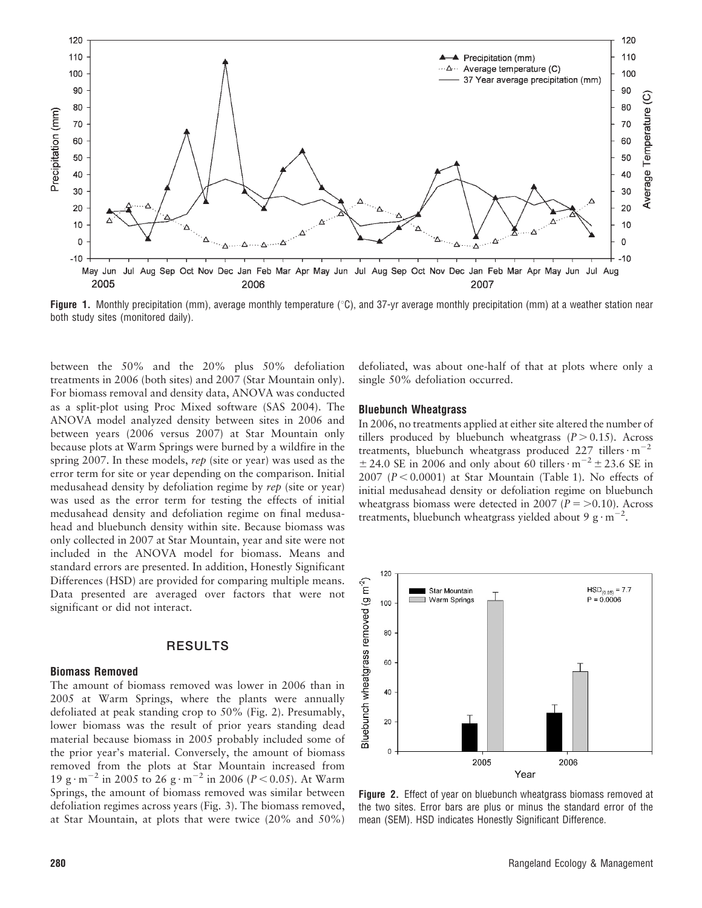

**Figure 1.** Monthly precipitation (mm), average monthly temperature (°C), and 37-yr average monthly precipitation (mm) at a weather station near both study sites (monitored daily).

between the 50% and the 20% plus 50% defoliation treatments in 2006 (both sites) and 2007 (Star Mountain only). For biomass removal and density data, ANOVA was conducted as a split-plot using Proc Mixed software (SAS 2004). The ANOVA model analyzed density between sites in 2006 and between years (2006 versus 2007) at Star Mountain only because plots at Warm Springs were burned by a wildfire in the spring 2007. In these models, rep (site or year) was used as the error term for site or year depending on the comparison. Initial medusahead density by defoliation regime by rep (site or year) was used as the error term for testing the effects of initial medusahead density and defoliation regime on final medusahead and bluebunch density within site. Because biomass was only collected in 2007 at Star Mountain, year and site were not included in the ANOVA model for biomass. Means and standard errors are presented. In addition, Honestly Significant Differences (HSD) are provided for comparing multiple means. Data presented are averaged over factors that were not significant or did not interact.

## RESULTS

#### Biomass Removed

The amount of biomass removed was lower in 2006 than in 2005 at Warm Springs, where the plants were annually defoliated at peak standing crop to 50% (Fig. 2). Presumably, lower biomass was the result of prior years standing dead material because biomass in 2005 probably included some of the prior year's material. Conversely, the amount of biomass removed from the plots at Star Mountain increased from 19 g $\cdot$  m<sup>-2</sup> in 2005 to 26 g $\cdot$  m<sup>-2</sup> in 2006 (P < 0.05). At Warm Springs, the amount of biomass removed was similar between defoliation regimes across years (Fig. 3). The biomass removed, at Star Mountain, at plots that were twice (20% and 50%)

defoliated, was about one-half of that at plots where only a single 50% defoliation occurred.

#### Bluebunch Wheatgrass

In 2006, no treatments applied at either site altered the number of tillers produced by bluebunch wheatgrass  $(P > 0.15)$ . Across treatments, bluebunch wheatgrass produced 227 tillers $\cdot$ m<sup>-2</sup>  $\pm$  24.0 SE in 2006 and only about 60 tillers $\cdot$  m<sup>-2</sup>  $\pm$  23.6 SE in 2007 ( $P < 0.0001$ ) at Star Mountain (Table 1). No effects of initial medusahead density or defoliation regime on bluebunch wheatgrass biomass were detected in 2007 ( $P = > 0.10$ ). Across treatments, bluebunch wheatgrass yielded about 9  $\text{g} \cdot \text{m}^{-2}$ .



Figure 2. Effect of year on bluebunch wheatgrass biomass removed at the two sites. Error bars are plus or minus the standard error of the mean (SEM). HSD indicates Honestly Significant Difference.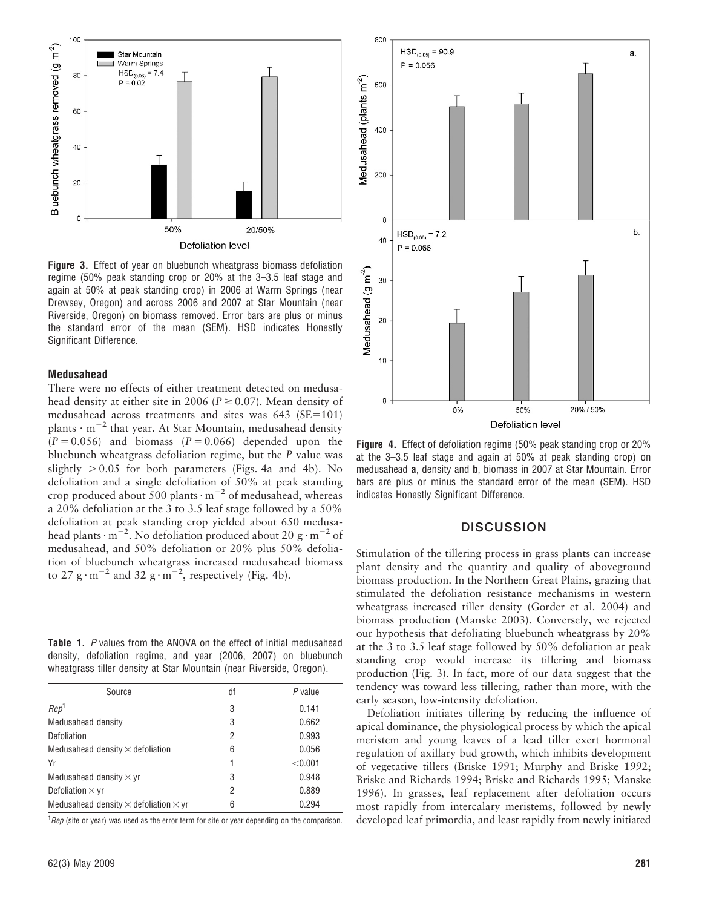

Figure 3. Effect of year on bluebunch wheatgrass biomass defoliation regime (50% peak standing crop or 20% at the 3–3.5 leaf stage and again at 50% at peak standing crop) in 2006 at Warm Springs (near Drewsey, Oregon) and across 2006 and 2007 at Star Mountain (near Riverside, Oregon) on biomass removed. Error bars are plus or minus the standard error of the mean (SEM). HSD indicates Honestly Significant Difference.

#### Medusahead

There were no effects of either treatment detected on medusahead density at either site in 2006 ( $P \ge 0.07$ ). Mean density of medusahead across treatments and sites was  $643$  (SE=101) plants  $\cdot$  m<sup>-2</sup> that year. At Star Mountain, medusahead density  $(P = 0.056)$  and biomass  $(P = 0.066)$  depended upon the bluebunch wheatgrass defoliation regime, but the P value was slightly  $> 0.05$  for both parameters (Figs. 4a and 4b). No defoliation and a single defoliation of 50% at peak standing crop produced about 500 plants $\cdot$  m<sup>-2</sup> of medusahead, whereas a 20% defoliation at the 3 to 3.5 leaf stage followed by a 50% defoliation at peak standing crop yielded about 650 medusahead plants $\cdot$  m<sup>-2</sup>. No defoliation produced about 20 g  $\cdot$  m<sup>-2</sup> of medusahead, and 50% defoliation or 20% plus 50% defoliation of bluebunch wheatgrass increased medusahead biomass to 27 g·m<sup>-2</sup> and 32 g·m<sup>-2</sup>, respectively (Fig. 4b).

Table 1. P values from the ANOVA on the effect of initial medusahead density, defoliation regime, and year (2006, 2007) on bluebunch wheatgrass tiller density at Star Mountain (near Riverside, Oregon).

| Source                                              | df | $P$ value |
|-----------------------------------------------------|----|-----------|
| Rep <sup>1</sup>                                    | 3  | 0.141     |
| Medusahead density                                  | 3  | 0.662     |
| Defoliation                                         | 2  | 0.993     |
| Medusahead density $\times$ defoliation             | 6  | 0.056     |
| Yr                                                  |    | < 0.001   |
| Medusahead density $\times$ yr                      | 3  | 0.948     |
| Defoliation $\times$ yr                             | 2  | 0.889     |
| Medusahead density $\times$ defoliation $\times$ yr | 6  | 0.294     |

 $1$ Rep (site or year) was used as the error term for site or year depending on the comparison.



Figure 4. Effect of defoliation regime (50% peak standing crop or 20% at the 3–3.5 leaf stage and again at 50% at peak standing crop) on medusahead a, density and b, biomass in 2007 at Star Mountain. Error bars are plus or minus the standard error of the mean (SEM). HSD indicates Honestly Significant Difference.

## **DISCUSSION**

Stimulation of the tillering process in grass plants can increase plant density and the quantity and quality of aboveground biomass production. In the Northern Great Plains, grazing that stimulated the defoliation resistance mechanisms in western wheatgrass increased tiller density (Gorder et al. 2004) and biomass production (Manske 2003). Conversely, we rejected our hypothesis that defoliating bluebunch wheatgrass by 20% at the 3 to 3.5 leaf stage followed by 50% defoliation at peak standing crop would increase its tillering and biomass production (Fig. 3). In fact, more of our data suggest that the tendency was toward less tillering, rather than more, with the early season, low-intensity defoliation.

Defoliation initiates tillering by reducing the influence of apical dominance, the physiological process by which the apical meristem and young leaves of a lead tiller exert hormonal regulation of axillary bud growth, which inhibits development of vegetative tillers (Briske 1991; Murphy and Briske 1992; Briske and Richards 1994; Briske and Richards 1995; Manske 1996). In grasses, leaf replacement after defoliation occurs most rapidly from intercalary meristems, followed by newly developed leaf primordia, and least rapidly from newly initiated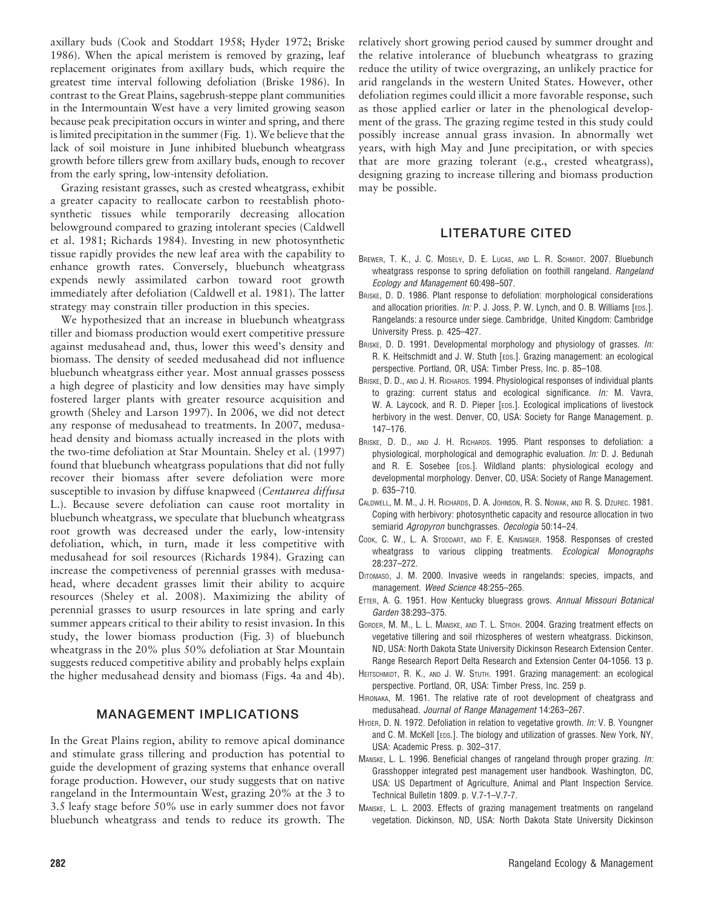axillary buds (Cook and Stoddart 1958; Hyder 1972; Briske 1986). When the apical meristem is removed by grazing, leaf replacement originates from axillary buds, which require the greatest time interval following defoliation (Briske 1986). In contrast to the Great Plains, sagebrush-steppe plant communities in the Intermountain West have a very limited growing season because peak precipitation occurs in winter and spring, and there is limited precipitation in the summer (Fig. 1). We believe that the lack of soil moisture in June inhibited bluebunch wheatgrass growth before tillers grew from axillary buds, enough to recover from the early spring, low-intensity defoliation.

Grazing resistant grasses, such as crested wheatgrass, exhibit a greater capacity to reallocate carbon to reestablish photosynthetic tissues while temporarily decreasing allocation belowground compared to grazing intolerant species (Caldwell et al. 1981; Richards 1984). Investing in new photosynthetic tissue rapidly provides the new leaf area with the capability to enhance growth rates. Conversely, bluebunch wheatgrass expends newly assimilated carbon toward root growth immediately after defoliation (Caldwell et al. 1981). The latter strategy may constrain tiller production in this species.

We hypothesized that an increase in bluebunch wheatgrass tiller and biomass production would exert competitive pressure against medusahead and, thus, lower this weed's density and biomass. The density of seeded medusahead did not influence bluebunch wheatgrass either year. Most annual grasses possess a high degree of plasticity and low densities may have simply fostered larger plants with greater resource acquisition and growth (Sheley and Larson 1997). In 2006, we did not detect any response of medusahead to treatments. In 2007, medusahead density and biomass actually increased in the plots with the two-time defoliation at Star Mountain. Sheley et al. (1997) found that bluebunch wheatgrass populations that did not fully recover their biomass after severe defoliation were more susceptible to invasion by diffuse knapweed (Centaurea diffusa L.). Because severe defoliation can cause root mortality in bluebunch wheatgrass, we speculate that bluebunch wheatgrass root growth was decreased under the early, low-intensity defoliation, which, in turn, made it less competitive with medusahead for soil resources (Richards 1984). Grazing can increase the competiveness of perennial grasses with medusahead, where decadent grasses limit their ability to acquire resources (Sheley et al. 2008). Maximizing the ability of perennial grasses to usurp resources in late spring and early summer appears critical to their ability to resist invasion. In this study, the lower biomass production (Fig. 3) of bluebunch wheatgrass in the 20% plus 50% defoliation at Star Mountain suggests reduced competitive ability and probably helps explain the higher medusahead density and biomass (Figs. 4a and 4b).

# MANAGEMENT IMPLICATIONS

In the Great Plains region, ability to remove apical dominance and stimulate grass tillering and production has potential to guide the development of grazing systems that enhance overall forage production. However, our study suggests that on native rangeland in the Intermountain West, grazing 20% at the 3 to 3.5 leafy stage before 50% use in early summer does not favor bluebunch wheatgrass and tends to reduce its growth. The

relatively short growing period caused by summer drought and the relative intolerance of bluebunch wheatgrass to grazing reduce the utility of twice overgrazing, an unlikely practice for arid rangelands in the western United States. However, other defoliation regimes could illicit a more favorable response, such as those applied earlier or later in the phenological development of the grass. The grazing regime tested in this study could possibly increase annual grass invasion. In abnormally wet years, with high May and June precipitation, or with species that are more grazing tolerant (e.g., crested wheatgrass), designing grazing to increase tillering and biomass production may be possible.

# LITERATURE CITED

- BREWER, T. K., J. C. MOSELY, D. E. LUCAS, AND L. R. SCHMIDT. 2007. Bluebunch wheatgrass response to spring defoliation on foothill rangeland. Rangeland Ecology and Management 60:498–507.
- BRISKE, D. D. 1986. Plant response to defoliation: morphological considerations and allocation priorities. In: P. J. Joss, P. W. Lynch, and O. B. Williams [EDS.]. Rangelands: a resource under siege. Cambridge, United Kingdom: Cambridge University Press. p. 425–427.
- BRISKE, D. D. 1991. Developmental morphology and physiology of grasses. In: R. K. Heitschmidt and J. W. Stuth [EDS.]. Grazing management: an ecological perspective. Portland, OR, USA: Timber Press, Inc. p. 85–108.
- BRISKE, D. D., AND J. H. RICHARDS. 1994. Physiological responses of individual plants to grazing: current status and ecological significance. In: M. Vavra, W. A. Laycock, and R. D. Pieper [EDS.]. Ecological implications of livestock herbivory in the west. Denver, CO, USA: Society for Range Management. p. 147–176.
- BRISKE, D. D., AND J. H. RICHARDS. 1995. Plant responses to defoliation: a physiological, morphological and demographic evaluation. In: D. J. Bedunah and R. E. Sosebee [EDS.]. Wildland plants: physiological ecology and developmental morphology. Denver, CO, USA: Society of Range Management. p. 635–710.
- CALDWELL, M. M., J. H. RICHARDS, D. A. JOHNSON, R. S. NOWAK, AND R. S. DZUREC. 1981. Coping with herbivory: photosynthetic capacity and resource allocation in two semiarid Agropyron bunchgrasses. Oecologia 50:14–24.
- COOK, C. W., L. A. STODDART, AND F. E. KINSINGER, 1958. Responses of crested wheatgrass to various clipping treatments. Ecological Monographs 28:237–272.
- DITOMASO, J. M. 2000. Invasive weeds in rangelands: species, impacts, and management. Weed Science 48:255–265.
- ETTER, A. G. 1951. How Kentucky bluegrass grows. Annual Missouri Botanical Garden 38:293–375.
- GORDER, M. M., L. L. MANSKE, AND T. L. STROH. 2004. Grazing treatment effects on vegetative tillering and soil rhizospheres of western wheatgrass. Dickinson, ND, USA: North Dakota State University Dickinson Research Extension Center. Range Research Report Delta Research and Extension Center 04-1056. 13 p.
- HEITSCHMIDT, R. K., AND J. W. STUTH. 1991. Grazing management: an ecological perspective. Portland, OR, USA: Timber Press, Inc. 259 p.
- HIRONAKA, M. 1961. The relative rate of root development of cheatgrass and medusahead. Journal of Range Management 14:263–267.
- HYDER, D. N. 1972. Defoliation in relation to vegetative growth. In: V. B. Youngner and C. M. McKell [EDS.]. The biology and utilization of grasses. New York, NY, USA: Academic Press. p. 302–317.
- MANSKE, L. L. 1996. Beneficial changes of rangeland through proper grazing. In: Grasshopper integrated pest management user handbook. Washington, DC, USA: US Department of Agriculture, Animal and Plant Inspection Service. Technical Bulletin 1809. p. V.7-1–V.7-7.
- MANSKE, L. L. 2003. Effects of grazing management treatments on rangeland vegetation. Dickinson, ND, USA: North Dakota State University Dickinson